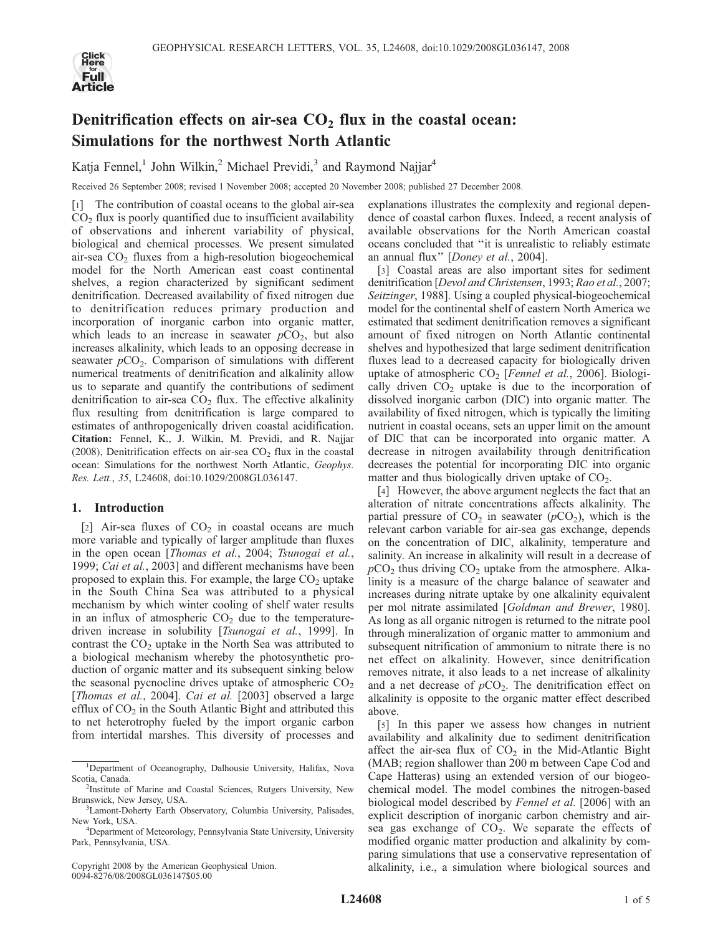

# Denitrification effects on air-sea  $CO<sub>2</sub>$  flux in the coastal ocean: Simulations for the northwest North Atlantic

Katja Fennel,<sup>1</sup> John Wilkin,<sup>2</sup> Michael Previdi,<sup>3</sup> and Raymond Najjar<sup>4</sup>

Received 26 September 2008; revised 1 November 2008; accepted 20 November 2008; published 27 December 2008.

[1] The contribution of coastal oceans to the global air-sea  $CO<sub>2</sub>$  flux is poorly quantified due to insufficient availability of observations and inherent variability of physical, biological and chemical processes. We present simulated air-sea  $CO<sub>2</sub>$  fluxes from a high-resolution biogeochemical model for the North American east coast continental shelves, a region characterized by significant sediment denitrification. Decreased availability of fixed nitrogen due to denitrification reduces primary production and incorporation of inorganic carbon into organic matter, which leads to an increase in seawater  $pCO<sub>2</sub>$ , but also increases alkalinity, which leads to an opposing decrease in seawater  $pCO<sub>2</sub>$ . Comparison of simulations with different numerical treatments of denitrification and alkalinity allow us to separate and quantify the contributions of sediment denitrification to air-sea  $CO<sub>2</sub>$  flux. The effective alkalinity flux resulting from denitrification is large compared to estimates of anthropogenically driven coastal acidification. Citation: Fennel, K., J. Wilkin, M. Previdi, and R. Najjar (2008), Denitrification effects on air-sea  $CO<sub>2</sub>$  flux in the coastal ocean: Simulations for the northwest North Atlantic, Geophys. Res. Lett., 35, L24608, doi:10.1029/2008GL036147.

# 1. Introduction

[2] Air-sea fluxes of  $CO<sub>2</sub>$  in coastal oceans are much more variable and typically of larger amplitude than fluxes in the open ocean [Thomas et al., 2004; Tsunogai et al., 1999; Cai et al., 2003] and different mechanisms have been proposed to explain this. For example, the large  $CO<sub>2</sub>$  uptake in the South China Sea was attributed to a physical mechanism by which winter cooling of shelf water results in an influx of atmospheric  $CO<sub>2</sub>$  due to the temperaturedriven increase in solubility [Tsunogai et al., 1999]. In contrast the  $CO<sub>2</sub>$  uptake in the North Sea was attributed to a biological mechanism whereby the photosynthetic production of organic matter and its subsequent sinking below the seasonal pycnocline drives uptake of atmospheric  $CO<sub>2</sub>$ [Thomas et al., 2004]. Cai et al. [2003] observed a large efflux of  $CO<sub>2</sub>$  in the South Atlantic Bight and attributed this to net heterotrophy fueled by the import organic carbon from intertidal marshes. This diversity of processes and

Copyright 2008 by the American Geophysical Union. 0094-8276/08/2008GL036147\$05.00

explanations illustrates the complexity and regional dependence of coastal carbon fluxes. Indeed, a recent analysis of available observations for the North American coastal oceans concluded that ''it is unrealistic to reliably estimate an annual flux'' [Doney et al., 2004].

[3] Coastal areas are also important sites for sediment denitrification [Devol and Christensen, 1993; Rao et al., 2007; Seitzinger, 1988]. Using a coupled physical-biogeochemical model for the continental shelf of eastern North America we estimated that sediment denitrification removes a significant amount of fixed nitrogen on North Atlantic continental shelves and hypothesized that large sediment denitrification fluxes lead to a decreased capacity for biologically driven uptake of atmospheric  $CO<sub>2</sub>$  [Fennel et al., 2006]. Biologically driven  $CO<sub>2</sub>$  uptake is due to the incorporation of dissolved inorganic carbon (DIC) into organic matter. The availability of fixed nitrogen, which is typically the limiting nutrient in coastal oceans, sets an upper limit on the amount of DIC that can be incorporated into organic matter. A decrease in nitrogen availability through denitrification decreases the potential for incorporating DIC into organic matter and thus biologically driven uptake of  $CO<sub>2</sub>$ .

[4] However, the above argument neglects the fact that an alteration of nitrate concentrations affects alkalinity. The partial pressure of  $CO<sub>2</sub>$  in seawater ( $pCO<sub>2</sub>$ ), which is the relevant carbon variable for air-sea gas exchange, depends on the concentration of DIC, alkalinity, temperature and salinity. An increase in alkalinity will result in a decrease of  $pCO<sub>2</sub>$  thus driving  $CO<sub>2</sub>$  uptake from the atmosphere. Alkalinity is a measure of the charge balance of seawater and increases during nitrate uptake by one alkalinity equivalent per mol nitrate assimilated [Goldman and Brewer, 1980]. As long as all organic nitrogen is returned to the nitrate pool through mineralization of organic matter to ammonium and subsequent nitrification of ammonium to nitrate there is no net effect on alkalinity. However, since denitrification removes nitrate, it also leads to a net increase of alkalinity and a net decrease of  $pCO<sub>2</sub>$ . The denitrification effect on alkalinity is opposite to the organic matter effect described above.

[5] In this paper we assess how changes in nutrient availability and alkalinity due to sediment denitrification affect the air-sea flux of  $CO<sub>2</sub>$  in the Mid-Atlantic Bight (MAB; region shallower than 200 m between Cape Cod and Cape Hatteras) using an extended version of our biogeochemical model. The model combines the nitrogen-based biological model described by Fennel et al. [2006] with an explicit description of inorganic carbon chemistry and airsea gas exchange of  $CO<sub>2</sub>$ . We separate the effects of modified organic matter production and alkalinity by comparing simulations that use a conservative representation of alkalinity, i.e., a simulation where biological sources and

<sup>1</sup> Department of Oceanography, Dalhousie University, Halifax, Nova Scotia, Canada.

<sup>&</sup>lt;sup>2</sup>Institute of Marine and Coastal Sciences, Rutgers University, New Brunswick, New Jersey, USA. <sup>3</sup>

<sup>&</sup>lt;sup>3</sup> Lamont-Doherty Earth Observatory, Columbia University, Palisades, New York, USA. <sup>4</sup> Department of Meteorology, Pennsylvania State University, University

Park, Pennsylvania, USA.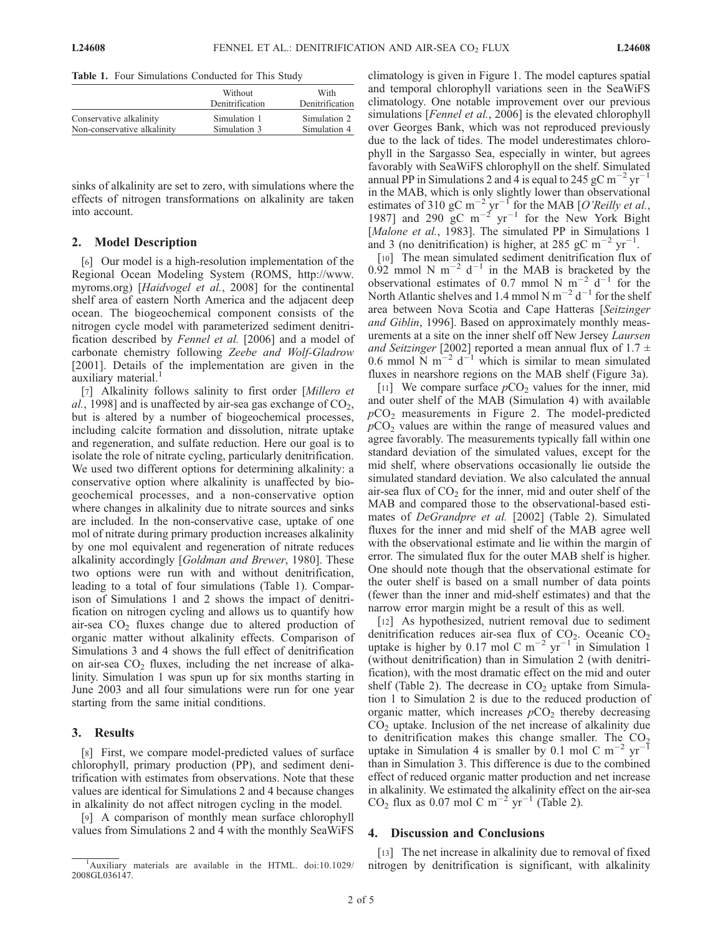Table 1. Four Simulations Conducted for This Study

|                             | Without<br>Denitrification | With<br>Denitrification |
|-----------------------------|----------------------------|-------------------------|
| Conservative alkalinity     | Simulation 1               | Simulation 2            |
| Non-conservative alkalinity | Simulation 3               | Simulation 4            |

sinks of alkalinity are set to zero, with simulations where the effects of nitrogen transformations on alkalinity are taken into account.

#### 2. Model Description

[6] Our model is a high-resolution implementation of the Regional Ocean Modeling System (ROMS, http://www. myroms.org) [Haidvogel et al., 2008] for the continental shelf area of eastern North America and the adjacent deep ocean. The biogeochemical component consists of the nitrogen cycle model with parameterized sediment denitrification described by Fennel et al. [2006] and a model of carbonate chemistry following Zeebe and Wolf-Gladrow [2001]. Details of the implementation are given in the auxiliary material.<sup>1</sup>

[7] Alkalinity follows salinity to first order [Millero et al., 1998] and is unaffected by air-sea gas exchange of  $CO<sub>2</sub>$ , but is altered by a number of biogeochemical processes, including calcite formation and dissolution, nitrate uptake and regeneration, and sulfate reduction. Here our goal is to isolate the role of nitrate cycling, particularly denitrification. We used two different options for determining alkalinity: a conservative option where alkalinity is unaffected by biogeochemical processes, and a non-conservative option where changes in alkalinity due to nitrate sources and sinks are included. In the non-conservative case, uptake of one mol of nitrate during primary production increases alkalinity by one mol equivalent and regeneration of nitrate reduces alkalinity accordingly [Goldman and Brewer, 1980]. These two options were run with and without denitrification, leading to a total of four simulations (Table 1). Comparison of Simulations 1 and 2 shows the impact of denitrification on nitrogen cycling and allows us to quantify how air-sea  $CO<sub>2</sub>$  fluxes change due to altered production of organic matter without alkalinity effects. Comparison of Simulations 3 and 4 shows the full effect of denitrification on air-sea  $CO<sub>2</sub>$  fluxes, including the net increase of alkalinity. Simulation 1 was spun up for six months starting in June 2003 and all four simulations were run for one year starting from the same initial conditions.

## 3. Results

[8] First, we compare model-predicted values of surface chlorophyll, primary production (PP), and sediment denitrification with estimates from observations. Note that these values are identical for Simulations 2 and 4 because changes in alkalinity do not affect nitrogen cycling in the model.

[9] A comparison of monthly mean surface chlorophyll values from Simulations 2 and 4 with the monthly SeaWiFS climatology is given in Figure 1. The model captures spatial and temporal chlorophyll variations seen in the SeaWiFS climatology. One notable improvement over our previous simulations [*Fennel et al.*, 2006] is the elevated chlorophyll over Georges Bank, which was not reproduced previously due to the lack of tides. The model underestimates chlorophyll in the Sargasso Sea, especially in winter, but agrees favorably with SeaWiFS chlorophyll on the shelf. Simulated annual PP in Simulations 2 and 4 is equal to 245 gC m<sup>-2</sup> yr<sup>-1</sup> in the MAB, which is only slightly lower than observational estimates of 310 gC m<sup>-2</sup> yr<sup>-1</sup> for the MAB [O'Reilly et al., 1987] and 290  $\rm gC~m^{-2}~yr^{-1}$  for the New York Bight [Malone et al., 1983]. The simulated PP in Simulations 1 and 3 (no denitrification) is higher, at 285 gC m<sup>-2</sup> yr<sup>-1</sup>.

[10] The mean simulated sediment denitrification flux of  $0.92$  mmol N m<sup>-2</sup> d<sup>-1</sup> in the MAB is bracketed by the observational estimates of 0.7 mmol N  $m^{-2}$  d<sup>-1</sup> for the North Atlantic shelves and 1.4 mmol N  $m^{-2} d^{-1}$  for the shelf area between Nova Scotia and Cape Hatteras [Seitzinger and Giblin, 1996]. Based on approximately monthly measurements at a site on the inner shelf off New Jersey Laursen and Seitzinger [2002] reported a mean annual flux of 1.7  $\pm$ 0.6 mmol  $\overline{N}$  m<sup>-2</sup> d<sup>-1</sup> which is similar to mean simulated fluxes in nearshore regions on the MAB shelf (Figure 3a).

[11] We compare surface  $pCO<sub>2</sub>$  values for the inner, mid and outer shelf of the MAB (Simulation 4) with available  $pCO<sub>2</sub>$  measurements in Figure 2. The model-predicted  $pCO<sub>2</sub>$  values are within the range of measured values and agree favorably. The measurements typically fall within one standard deviation of the simulated values, except for the mid shelf, where observations occasionally lie outside the simulated standard deviation. We also calculated the annual air-sea flux of  $CO<sub>2</sub>$  for the inner, mid and outer shelf of the MAB and compared those to the observational-based estimates of DeGrandpre et al. [2002] (Table 2). Simulated fluxes for the inner and mid shelf of the MAB agree well with the observational estimate and lie within the margin of error. The simulated flux for the outer MAB shelf is higher. One should note though that the observational estimate for the outer shelf is based on a small number of data points (fewer than the inner and mid-shelf estimates) and that the narrow error margin might be a result of this as well.

[12] As hypothesized, nutrient removal due to sediment denitrification reduces air-sea flux of  $CO<sub>2</sub>$ . Oceanic  $CO<sub>2</sub>$ uptake is higher by 0.17 mol C m<sup>-2</sup> yr<sup>-1</sup> in Simulation 1 (without denitrification) than in Simulation 2 (with denitrification), with the most dramatic effect on the mid and outer shelf (Table 2). The decrease in  $CO<sub>2</sub>$  uptake from Simulation 1 to Simulation 2 is due to the reduced production of organic matter, which increases  $pCO<sub>2</sub>$  thereby decreasing  $CO<sub>2</sub>$  uptake. Inclusion of the net increase of alkalinity due to denitrification makes this change smaller. The  $CO<sub>2</sub>$ uptake in Simulation 4 is smaller by 0.1 mol C  $m^{-2}$   $yr^{-1}$ than in Simulation 3. This difference is due to the combined effect of reduced organic matter production and net increase in alkalinity. We estimated the alkalinity effect on the air-sea  $CO<sub>2</sub>$  flux as 0.07 mol C m<sup>-2</sup> yr<sup>-1</sup> (Table 2).

## 4. Discussion and Conclusions

[13] The net increase in alkalinity due to removal of fixed nitrogen by denitrification is significant, with alkalinity

<sup>&</sup>lt;sup>1</sup>Auxiliary materials are available in the HTML. doi:10.1029/ 2008GL036147.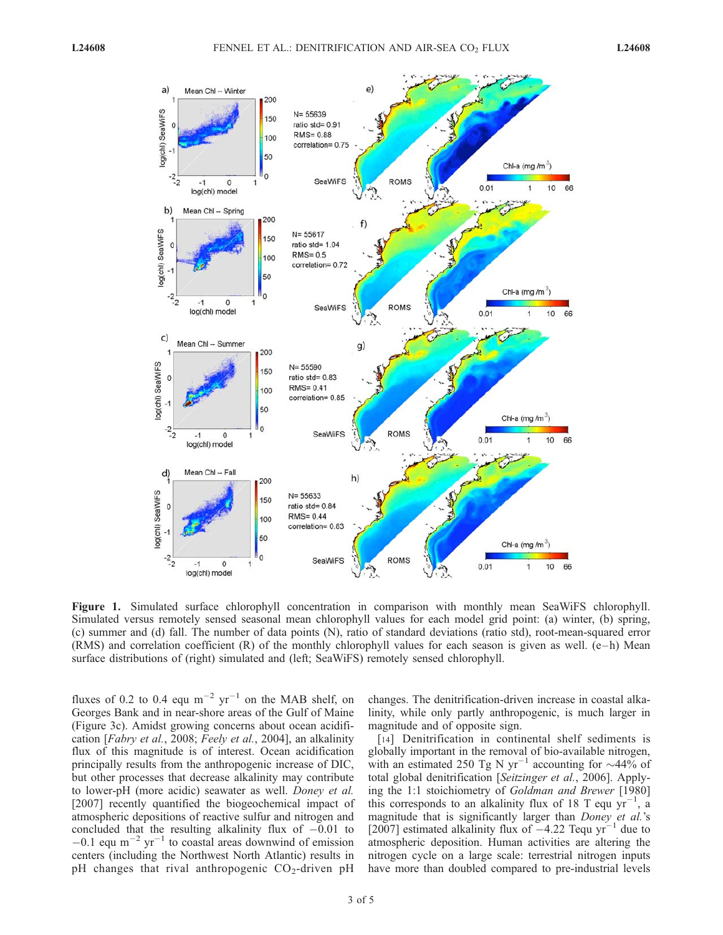

Figure 1. Simulated surface chlorophyll concentration in comparison with monthly mean SeaWiFS chlorophyll. Simulated versus remotely sensed seasonal mean chlorophyll values for each model grid point: (a) winter, (b) spring, (c) summer and (d) fall. The number of data points (N), ratio of standard deviations (ratio std), root-mean-squared error (RMS) and correlation coefficient  $(R)$  of the monthly chlorophyll values for each season is given as well. (e–h) Mean surface distributions of (right) simulated and (left; SeaWiFS) remotely sensed chlorophyll.

fluxes of 0.2 to 0.4 equ  $m^{-2}$  yr<sup>-1</sup> on the MAB shelf, on Georges Bank and in near-shore areas of the Gulf of Maine (Figure 3c). Amidst growing concerns about ocean acidification [Fabry et al., 2008; Feely et al., 2004], an alkalinity flux of this magnitude is of interest. Ocean acidification principally results from the anthropogenic increase of DIC, but other processes that decrease alkalinity may contribute to lower-pH (more acidic) seawater as well. Doney et al. [2007] recently quantified the biogeochemical impact of atmospheric depositions of reactive sulfur and nitrogen and concluded that the resulting alkalinity flux of  $-0.01$  to  $-0.1$  equ m<sup>-2</sup> yr<sup>-1</sup> to coastal areas downwind of emission centers (including the Northwest North Atlantic) results in pH changes that rival anthropogenic  $CO<sub>2</sub>$ -driven pH

changes. The denitrification-driven increase in coastal alkalinity, while only partly anthropogenic, is much larger in magnitude and of opposite sign.

[14] Denitrification in continental shelf sediments is globally important in the removal of bio-available nitrogen, with an estimated 250 Tg N yr<sup>-1</sup> accounting for  $\sim$ 44% of total global denitrification [Seitzinger et al., 2006]. Applying the 1:1 stoichiometry of Goldman and Brewer [1980] this corresponds to an alkalinity flux of 18 T equ  $yr^{-1}$ , a magnitude that is significantly larger than *Doney et al.*'s  $[2007]$  estimated alkalinity flux of  $-4.22$  Tequ yr<sup>-1</sup> due to atmospheric deposition. Human activities are altering the nitrogen cycle on a large scale: terrestrial nitrogen inputs have more than doubled compared to pre-industrial levels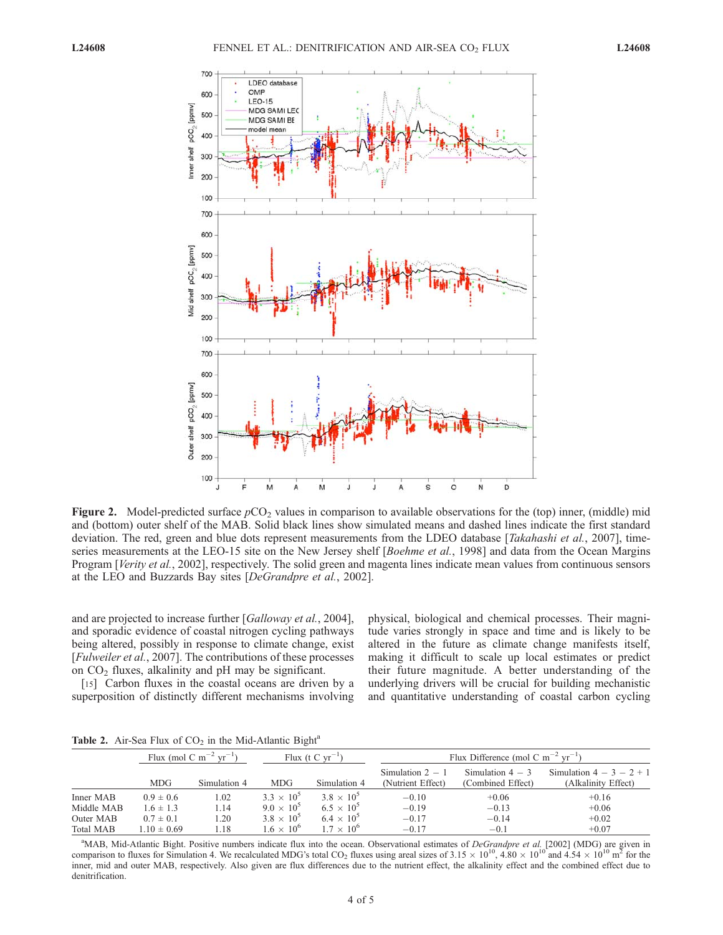

Figure 2. Model-predicted surface  $pCO<sub>2</sub>$  values in comparison to available observations for the (top) inner, (middle) mid and (bottom) outer shelf of the MAB. Solid black lines show simulated means and dashed lines indicate the first standard deviation. The red, green and blue dots represent measurements from the LDEO database [Takahashi et al., 2007], timeseries measurements at the LEO-15 site on the New Jersey shelf [Boehme et al., 1998] and data from the Ocean Margins Program [Verity et al., 2002], respectively. The solid green and magenta lines indicate mean values from continuous sensors at the LEO and Buzzards Bay sites [DeGrandpre et al., 2002].

and are projected to increase further [Galloway et al., 2004], and sporadic evidence of coastal nitrogen cycling pathways being altered, possibly in response to climate change, exist [*Fulweiler et al.*, 2007]. The contributions of these processes on  $CO<sub>2</sub>$  fluxes, alkalinity and pH may be significant.

[15] Carbon fluxes in the coastal oceans are driven by a superposition of distinctly different mechanisms involving physical, biological and chemical processes. Their magnitude varies strongly in space and time and is likely to be altered in the future as climate change manifests itself, making it difficult to scale up local estimates or predict their future magnitude. A better understanding of the underlying drivers will be crucial for building mechanistic and quantitative understanding of coastal carbon cycling

Table 2. Air-Sea Flux of  $CO<sub>2</sub>$  in the Mid-Atlantic Bight<sup>a</sup>

|                                                          | Flux (mol C m <sup>-2</sup> yr <sup>-1</sup> )                     |                              | Flux (t C $vr^{-1}$ )                                                                  |                                                                                          | Flux Difference (mol C m <sup>-2</sup> yr <sup>-1</sup> ) |                                         |                                             |
|----------------------------------------------------------|--------------------------------------------------------------------|------------------------------|----------------------------------------------------------------------------------------|------------------------------------------------------------------------------------------|-----------------------------------------------------------|-----------------------------------------|---------------------------------------------|
|                                                          | <b>MDG</b>                                                         | Simulation 4                 | <b>MDG</b>                                                                             | Simulation 4                                                                             | Simulation $2 - 1$<br>(Nutrient Effect)                   | Simulation $4-3$<br>(Combined Effect)   | Simulation $4-3-2+1$<br>(Alkalinity Effect) |
| Inner MAB<br>Middle MAB<br>Outer MAB<br><b>Total MAB</b> | $0.9 \pm 0.6$<br>$1.6 \pm 1.3$<br>$0.7 \pm 0.1$<br>$1.10 \pm 0.69$ | 1.02<br>1.14<br>1.20<br>1.18 | $3.3 \times 10^{5}$<br>$9.0 \times 10^5$<br>$3.8 \times 10^{5}$<br>$1.6 \times 10^{6}$ | $3.8 \times 10^{5}$<br>$6.5 \times 10^{5}$<br>$6.4 \times 10^{5}$<br>$1.7 \times 10^{6}$ | $-0.10$<br>$-0.19$<br>$-0.17$<br>$-0.17$                  | $+0.06$<br>$-0.13$<br>$-0.14$<br>$-0.1$ | $+0.16$<br>$+0.06$<br>$+0.02$<br>$+0.07$    |

<sup>a</sup>MAB, Mid-Atlantic Bight. Positive numbers indicate flux into the ocean. Observational estimates of *DeGrandpre et al.* [2002] (MDG) are given in comparison to fluxes for Simulation 4. We recalculated MDG's total CO<sub>2</sub> fluxes using areal sizes of 3.15  $\times$  10<sup>10</sup>, 4.80  $\times$  10<sup>10</sup> and 4.54  $\times$  10<sup>10</sup> m<sup>2</sup> for the inner, mid and outer MAB, respectively. Also given are flux differences due to the nutrient effect, the alkalinity effect and the combined effect due to denitrification.